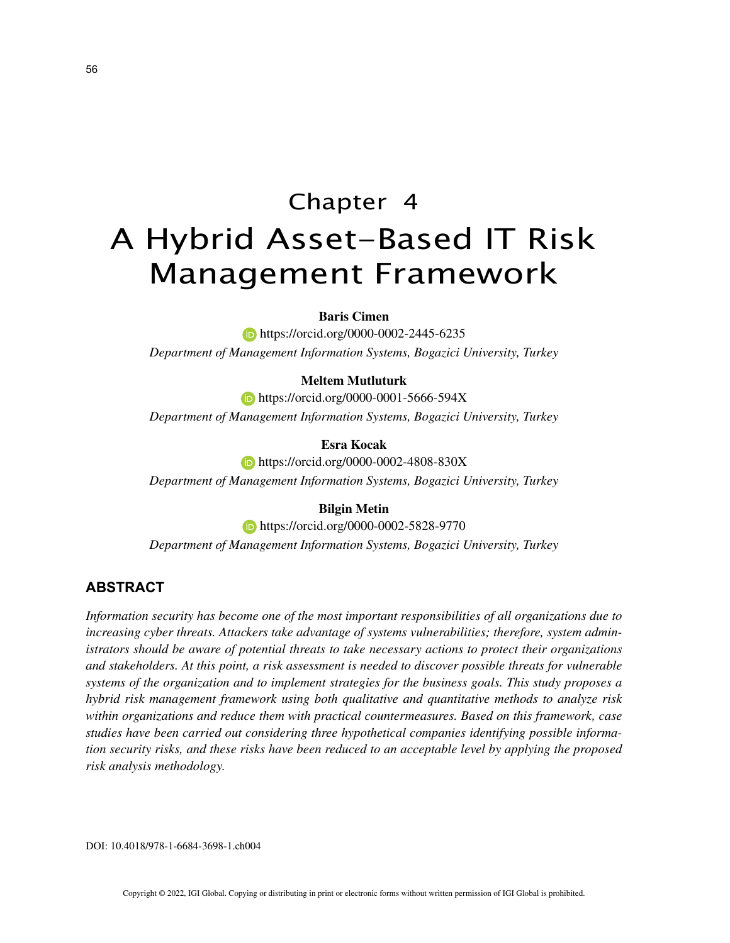# Chapter 4 A Hybrid Asset-Based IT Risk Management Framework

# **Baris Cimen**

**https://orcid.org/0000-0002-2445-6235** *Department of Management Information Systems, Bogazici University, Turkey*

## **Meltem Mutluturk**

**https://orcid.org/0000-0001-5666-594X** *Department of Management Information Systems, Bogazici University, Turkey*

**Esra Kocak**

**https://orcid.org/0000-0002-4808-830X** *Department of Management Information Systems, Bogazici University, Turkey*

## **Bilgin Metin**

**https://orcid.org/0000-0002-5828-9770** *Department of Management Information Systems, Bogazici University, Turkey*

## **ABSTRACT**

*Information security has become one of the most important responsibilities of all organizations due to increasing cyber threats. Attackers take advantage of systems vulnerabilities; therefore, system administrators should be aware of potential threats to take necessary actions to protect their organizations and stakeholders. At this point, a risk assessment is needed to discover possible threats for vulnerable systems of the organization and to implement strategies for the business goals. This study proposes a hybrid risk management framework using both qualitative and quantitative methods to analyze risk within organizations and reduce them with practical countermeasures. Based on this framework, case studies have been carried out considering three hypothetical companies identifying possible information security risks, and these risks have been reduced to an acceptable level by applying the proposed risk analysis methodology.*

DOI: 10.4018/978-1-6684-3698-1.ch004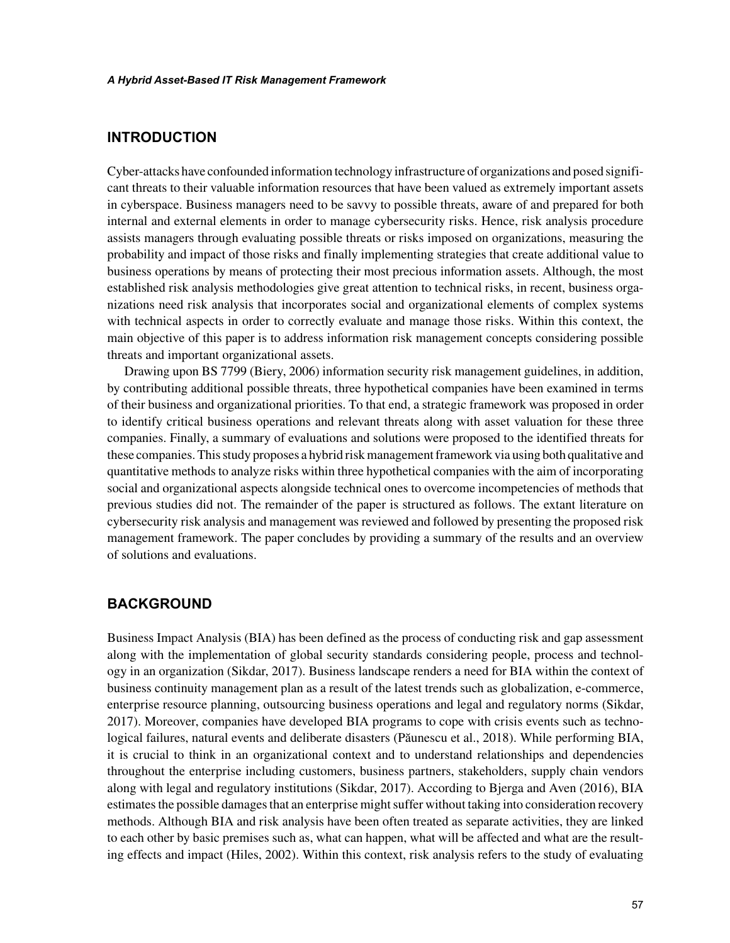# **INTRODUCTION**

Cyber-attacks have confounded information technology infrastructure of organizations and posed significant threats to their valuable information resources that have been valued as extremely important assets in cyberspace. Business managers need to be savvy to possible threats, aware of and prepared for both internal and external elements in order to manage cybersecurity risks. Hence, risk analysis procedure assists managers through evaluating possible threats or risks imposed on organizations, measuring the probability and impact of those risks and finally implementing strategies that create additional value to business operations by means of protecting their most precious information assets. Although, the most established risk analysis methodologies give great attention to technical risks, in recent, business organizations need risk analysis that incorporates social and organizational elements of complex systems with technical aspects in order to correctly evaluate and manage those risks. Within this context, the main objective of this paper is to address information risk management concepts considering possible threats and important organizational assets.

Drawing upon BS 7799 (Biery, 2006) information security risk management guidelines, in addition, by contributing additional possible threats, three hypothetical companies have been examined in terms of their business and organizational priorities. To that end, a strategic framework was proposed in order to identify critical business operations and relevant threats along with asset valuation for these three companies. Finally, a summary of evaluations and solutions were proposed to the identified threats for these companies. This study proposes a hybrid risk management framework via using both qualitative and quantitative methods to analyze risks within three hypothetical companies with the aim of incorporating social and organizational aspects alongside technical ones to overcome incompetencies of methods that previous studies did not. The remainder of the paper is structured as follows. The extant literature on cybersecurity risk analysis and management was reviewed and followed by presenting the proposed risk management framework. The paper concludes by providing a summary of the results and an overview of solutions and evaluations.

## **BACKGROUND**

Business Impact Analysis (BIA) has been defined as the process of conducting risk and gap assessment along with the implementation of global security standards considering people, process and technology in an organization (Sikdar, 2017). Business landscape renders a need for BIA within the context of business continuity management plan as a result of the latest trends such as globalization, e-commerce, enterprise resource planning, outsourcing business operations and legal and regulatory norms (Sikdar, 2017). Moreover, companies have developed BIA programs to cope with crisis events such as technological failures, natural events and deliberate disasters (Păunescu et al., 2018). While performing BIA, it is crucial to think in an organizational context and to understand relationships and dependencies throughout the enterprise including customers, business partners, stakeholders, supply chain vendors along with legal and regulatory institutions (Sikdar, 2017). According to Bjerga and Aven (2016), BIA estimates the possible damages that an enterprise might suffer without taking into consideration recovery methods. Although BIA and risk analysis have been often treated as separate activities, they are linked to each other by basic premises such as, what can happen, what will be affected and what are the resulting effects and impact (Hiles, 2002). Within this context, risk analysis refers to the study of evaluating